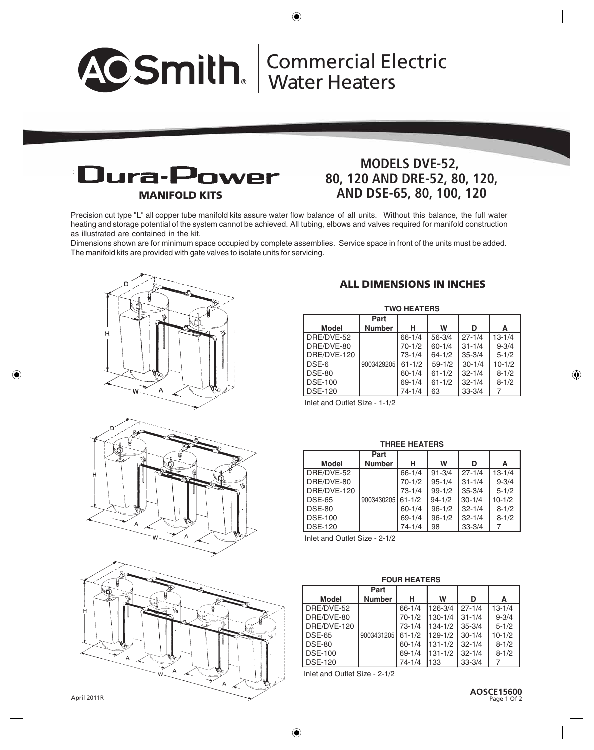# **®** Commercial Electric Water Heaters



## **MODELS DVE-52, 80, 120 AND DRE-52, 80, 120, AND DSE-65, 80, 100, 120**

Precision cut type "L" all copper tube manifold kits assure water flow balance of all units. Without this balance, the full water heating and storage potential of the system cannot be achieved. All tubing, elbows and valves required for manifold construction as illustrated are contained in the kit.

Dimensions shown are for minimum space occupied by complete assemblies. Service space in front of the units must be added. The manifold kits are provided with gate valves to isolate units for servicing.







### **ALL DIMENSIONS IN INCHES**

| <b>TWO HEATERS</b> |               |            |            |            |            |  |  |  |  |
|--------------------|---------------|------------|------------|------------|------------|--|--|--|--|
|                    | Part          |            |            |            |            |  |  |  |  |
| <b>Model</b>       | <b>Number</b> | н          | W          | D          | А          |  |  |  |  |
| DRE/DVE-52         |               | $66 - 1/4$ | $56 - 3/4$ | $27 - 1/4$ | $13 - 1/4$ |  |  |  |  |
| DRE/DVE-80         |               | $70-1/2$   | $60 - 1/4$ | $31 - 1/4$ | $9 - 3/4$  |  |  |  |  |
| DRE/DVE-120        |               | $73 - 1/4$ | $64 - 1/2$ | $35 - 3/4$ | $5 - 1/2$  |  |  |  |  |
| DSE-6              | 9003429205    | $61 - 1/2$ | $59 - 1/2$ | $30 - 1/4$ | $10 - 1/2$ |  |  |  |  |
| <b>DSE-80</b>      |               | $60 - 1/4$ | $61 - 1/2$ | $32 - 1/4$ | $8 - 1/2$  |  |  |  |  |
| <b>DSE-100</b>     |               | $69 - 1/4$ | $61 - 1/2$ | $32 - 1/4$ | $8 - 1/2$  |  |  |  |  |
| <b>DSE-120</b>     |               | $74 - 1/4$ | 63         | $33 - 3/4$ |            |  |  |  |  |

Inlet and Outlet Size - 1-1/2

#### **THREE HEATERS**

|                | Part              |            |            |            |            |
|----------------|-------------------|------------|------------|------------|------------|
| <b>Model</b>   | <b>Number</b>     | н          | W          | D          | А          |
| DRE/DVE-52     |                   | $66 - 1/4$ | $91 - 3/4$ | $27 - 1/4$ | $13 - 1/4$ |
| DRE/DVE-80     |                   | $70 - 1/2$ | $95 - 1/4$ | $31 - 1/4$ | $9 - 3/4$  |
| DRE/DVE-120    |                   | $73 - 1/4$ | $99 - 1/2$ | $35 - 3/4$ | $5 - 1/2$  |
| <b>DSE-65</b>  | 9003430205 61-1/2 |            | $94 - 1/2$ | $30 - 1/4$ | $10 - 1/2$ |
| <b>DSE-80</b>  |                   | $60 - 1/4$ | $96 - 1/2$ | $32 - 1/4$ | $8 - 1/2$  |
| <b>DSE-100</b> |                   | $69 - 1/4$ | $96 - 1/2$ | $32 - 1/4$ | $8 - 1/2$  |
| <b>DSE-120</b> |                   | $74 - 1/4$ | 98         | $33 - 3/4$ |            |

Inlet and Outlet Size - 2-1/2

#### **FOUR HEATERS**

|                | Part              |            |             |             |            |
|----------------|-------------------|------------|-------------|-------------|------------|
| <b>Model</b>   | <b>Number</b>     | н          | W           | D           | А          |
| DRE/DVE-52     |                   | $66 - 1/4$ | 126-3/4     | 27-1/4      | $13 - 1/4$ |
| DRE/DVE-80     |                   | $70-1/2$   | $130 - 1/4$ | $31 - 1/4$  | $9 - 3/4$  |
| DRE/DVE-120    |                   | $73 - 1/4$ | 134-1/2     | $35 - 3/4$  | $5 - 1/2$  |
| <b>DSE-65</b>  | 9003431205 61-1/2 |            | 129-1/2     | $30 - 1/4$  | $10 - 1/2$ |
| <b>DSE-80</b>  |                   | $60 - 1/4$ | $131 - 1/2$ | $132 - 1/4$ | $8 - 1/2$  |
| <b>DSE-100</b> |                   | $69 - 1/4$ | $131 - 1/2$ | $132 - 1/4$ | $8 - 1/2$  |
| <b>DSE-120</b> |                   | $74 - 1/4$ | 1133        | $33 - 3/4$  |            |

Inlet and Outlet Size - 2-1/2